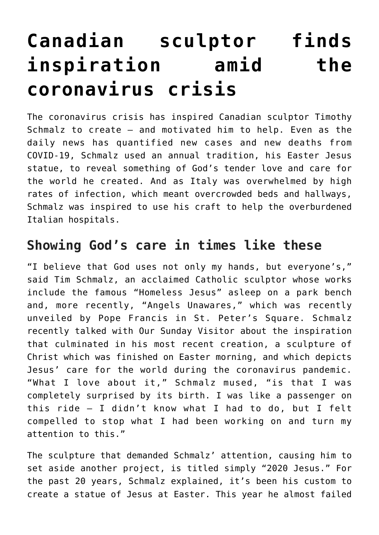## **[Canadian sculptor finds](https://www.osvnews.com/amp/2020/05/18/canadian-sculptor-finds-inspiration-amid-the-coronavirus-crisis/) [inspiration amid the](https://www.osvnews.com/amp/2020/05/18/canadian-sculptor-finds-inspiration-amid-the-coronavirus-crisis/) [coronavirus crisis](https://www.osvnews.com/amp/2020/05/18/canadian-sculptor-finds-inspiration-amid-the-coronavirus-crisis/)**

The coronavirus crisis has inspired Canadian sculptor Timothy Schmalz to create — and motivated him to help. Even as the daily news has quantified new cases and new deaths from COVID-19, Schmalz used an annual tradition, his Easter Jesus statue, to reveal something of God's tender love and care for the world he created. And as Italy was overwhelmed by high rates of infection, which meant overcrowded beds and hallways, Schmalz was inspired to use his craft to help the overburdened Italian hospitals.

## **Showing God's care in times like these**

"I believe that God uses not only my hands, but everyone's," said Tim Schmalz, an acclaimed Catholic sculptor whose works include the famous "Homeless Jesus" asleep on a park bench and, more recently, "Angels Unawares," which was recently unveiled by Pope Francis in St. Peter's Square. Schmalz recently talked with Our Sunday Visitor about the inspiration that culminated in his most recent creation, a sculpture of Christ which was finished on Easter morning, and which depicts Jesus' care for the world during the coronavirus pandemic. "What I love about it," Schmalz mused, "is that I was completely surprised by its birth. I was like a passenger on this ride — I didn't know what I had to do, but I felt compelled to stop what I had been working on and turn my attention to this."

The sculpture that demanded Schmalz' attention, causing him to set aside another project, is titled simply "2020 Jesus." For the past 20 years, Schmalz explained, it's been his custom to create a statue of Jesus at Easter. This year he almost failed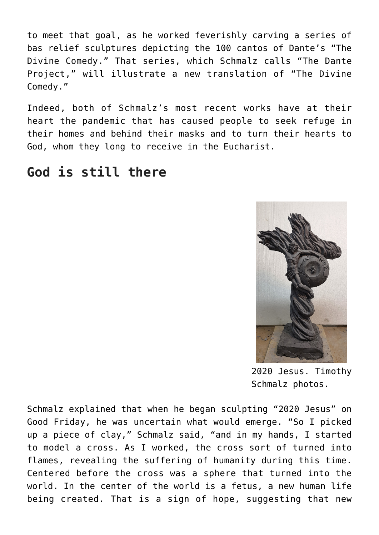to meet that goal, as he worked feverishly carving a series of bas relief sculptures depicting the 100 cantos of Dante's "The Divine Comedy." That series, which Schmalz calls "The Dante Project," will illustrate a new translation of "The Divine Comedy."

Indeed, both of Schmalz's most recent works have at their heart the pandemic that has caused people to seek refuge in their homes and behind their masks and to turn their hearts to God, whom they long to receive in the Eucharist.

## **God is still there**



2020 Jesus. Timothy Schmalz photos.

Schmalz explained that when he began sculpting "2020 Jesus" on Good Friday, he was uncertain what would emerge. "So I picked up a piece of clay," Schmalz said, "and in my hands, I started to model a cross. As I worked, the cross sort of turned into flames, revealing the suffering of humanity during this time. Centered before the cross was a sphere that turned into the world. In the center of the world is a fetus, a new human life being created. That is a sign of hope, suggesting that new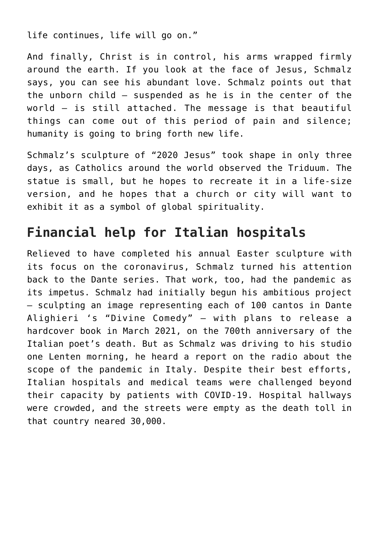life continues, life will go on."

And finally, Christ is in control, his arms wrapped firmly around the earth. If you look at the face of Jesus, Schmalz says, you can see his abundant love. Schmalz points out that the unborn child — suspended as he is in the center of the world — is still attached. The message is that beautiful things can come out of this period of pain and silence; humanity is going to bring forth new life.

Schmalz's sculpture of "2020 Jesus" took shape in only three days, as Catholics around the world observed the Triduum. The statue is small, but he hopes to recreate it in a life-size version, and he hopes that a church or city will want to exhibit it as a symbol of global spirituality.

## **Financial help for Italian hospitals**

Relieved to have completed his annual Easter sculpture with its focus on the coronavirus, Schmalz turned his attention back to the Dante series. That work, too, had the pandemic as its impetus. Schmalz had initially begun his ambitious project — sculpting an image representing each of 100 cantos in Dante Alighieri 's "Divine Comedy" — with plans to release a hardcover book in March 2021, on the 700th anniversary of the Italian poet's death. But as Schmalz was driving to his studio one Lenten morning, he heard a report on the radio about the scope of the pandemic in Italy. Despite their best efforts, Italian hospitals and medical teams were challenged beyond their capacity by patients with COVID-19. Hospital hallways were crowded, and the streets were empty as the death toll in that country neared 30,000.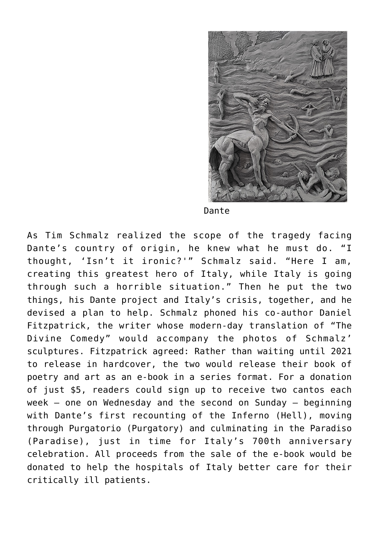

Dante

As Tim Schmalz realized the scope of the tragedy facing Dante's country of origin, he knew what he must do. "I thought, 'Isn't it ironic?'" Schmalz said. "Here I am, creating this greatest hero of Italy, while Italy is going through such a horrible situation." Then he put the two things, his Dante project and Italy's crisis, together, and he devised a plan to help. Schmalz phoned his co-author Daniel Fitzpatrick, the writer whose modern-day translation of "The Divine Comedy" would accompany the photos of Schmalz' sculptures. Fitzpatrick agreed: Rather than waiting until 2021 to release in hardcover, the two would release their book of poetry and art as an e-book in a series format. For a donation of just \$5, readers could sign up to receive two cantos each week – one on Wednesday and the second on Sunday — beginning with Dante's first recounting of the Inferno (Hell), moving through Purgatorio (Purgatory) and culminating in the Paradiso (Paradise), just in time for Italy's 700th anniversary celebration. All proceeds from the sale of the e-book would be donated to help the hospitals of Italy better care for their critically ill patients.